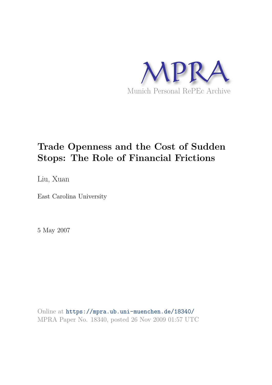

# **Trade Openness and the Cost of Sudden Stops: The Role of Financial Frictions**

Liu, Xuan

East Carolina University

5 May 2007

Online at https://mpra.ub.uni-muenchen.de/18340/ MPRA Paper No. 18340, posted 26 Nov 2009 01:57 UTC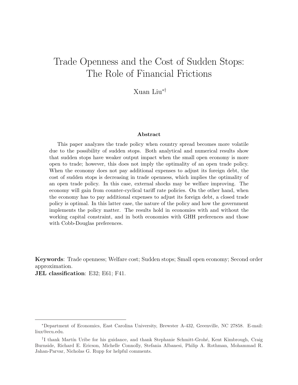# Trade Openness and the Cost of Sudden Stops: The Role of Financial Frictions

Xuan Liu∗†

#### Abstract

This paper analyzes the trade policy when country spread becomes more volatile due to the possibility of sudden stops. Both analytical and numerical results show that sudden stops have weaker output impact when the small open economy is more open to trade; however, this does not imply the optimality of an open trade policy. When the economy does not pay additional expenses to adjust its foreign debt, the cost of sudden stops is decreasing in trade openness, which implies the optimality of an open trade policy. In this case, external shocks may be welfare improving. The economy will gain from counter-cyclical tariff rate policies. On the other hand, when the economy has to pay additional expenses to adjust its foreign debt, a closed trade policy is optimal. In this latter case, the nature of the policy and how the government implements the policy matter. The results hold in economies with and without the working capital constraint, and in both economies with GHH preferences and those with Cobb-Douglas preferences.

Keywords: Trade openness; Welfare cost; Sudden stops; Small open economy; Second order approximation.

JEL classification: E32; E61; F41.

<sup>∗</sup>Department of Economics, East Carolina University, Brewster A-432, Greenville, NC 27858. E-mail: liux@ecu.edu.

<sup>&</sup>lt;sup>†</sup>I thank Martín Uribe for his guidance, and thank Stephanie Schmitt-Grohé, Kent Kimbrough, Craig Burnside, Richard E. Ericson, Michelle Connolly, Stefania Albanesi, Philip A. Rothman, Mohammad R. Jahan-Parvar, Nicholas G. Rupp for helpful comments.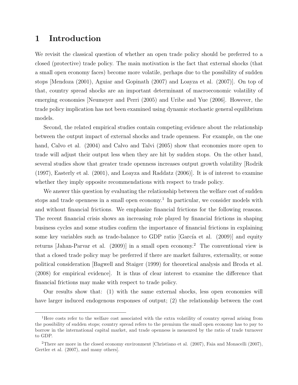# 1 Introduction

We revisit the classical question of whether an open trade policy should be preferred to a closed (protective) trade policy. The main motivation is the fact that external shocks (that a small open economy faces) become more volatile, perhaps due to the possibility of sudden stops [Mendoza (2001), Aguiar and Gopinath (2007) and Loayza et al. (2007)]. On top of that, country spread shocks are an important determinant of macroeconomic volatility of emerging economies [Neumeyer and Perri (2005) and Uribe and Yue (2006]. However, the trade policy implication has not been examined using dynamic stochastic general equilibrium models.

Second, the related empirical studies contain competing evidence about the relationship between the output impact of external shocks and trade openness. For example, on the one hand, Calvo et al. (2004) and Calvo and Talvi (2005) show that economies more open to trade will adjust their output less when they are hit by sudden stops. On the other hand, several studies show that greater trade openness increases output growth volatility [Rodrik (1997), Easterly et al. (2001), and Loayza and Raddatz (2006)]. It is of interest to examine whether they imply opposite recommendations with respect to trade policy.

We answer this question by evaluating the relationship between the welfare cost of sudden stops and trade openness in a small open economy.<sup>1</sup> In particular, we consider models with and without financial frictions. We emphasize financial frictions for the following reasons. The recent financial crisis shows an increasing role played by financial frictions in shaping business cycles and some studies confirm the importance of financial frictions in explaining some key variables such as trade-balance to GDP ratio  $|Garcia$  et al.  $(2009)|$  and equity returns [Jahan-Parvar et al. (2009)] in a small open economy.<sup>2</sup> The conventional view is that a closed trade policy may be preferred if there are market failures, externality, or some political consideration [Bagwell and Staiger (1999) for theoretical analysis and Broda et al. (2008) for empirical evidence]. It is thus of clear interest to examine the difference that financial frictions may make with respect to trade policy.

Our results show that: (1) with the same external shocks, less open economies will have larger induced endogenous responses of output; (2) the relationship between the cost

<sup>&</sup>lt;sup>1</sup>Here costs refer to the welfare cost associated with the extra volatility of country spread arising from the possibility of sudden stops; country spread refers to the premium the small open economy has to pay to borrow in the international capital market, and trade openness is measured by the ratio of trade turnover to GDP.

<sup>2</sup>There are more in the closed economy environment [Christiano et al. (2007), Faia and Monacelli (2007), Gertler et al. (2007), and many others].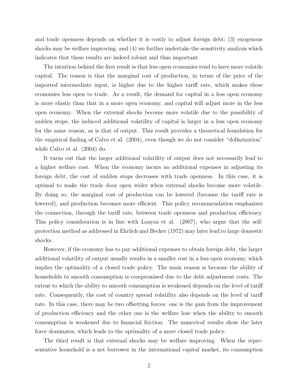and trade openness depends on whether it is costly to adjust foreign debt; (3) exogenous shocks may be welfare improving; and (4) we further undertake the sensitivity analysis which indicates that these results are indeed robust and thus important.

The intuition behind the first result is that less open economies tend to have more volatile capital. The reason is that the marginal cost of production, in terms of the price of the imported intermediate input, is higher due to the higher tariff rate, which makes these economies less open to trade. As a result, the demand for capital in a less open economy is more elastic than that in a more open economy, and capital will adjust more in the less open economy. When the external shocks become more volatile due to the possibility of sudden stops, the induced additional volatility of capital is larger in a less open economy for the same reason, as is that of output. This result provides a theoretical foundation for the empirical finding of Calvo et al. (2004), even though we do not consider "dollarization" while Calvo et al. (2004) do.

It turns out that the larger additional volatility of output does not necessarily lead to a higher welfare cost. When the economy incurs no additional expenses in adjusting its foreign debt, the cost of sudden stops decreases with trade openness. In this case, it is optimal to make the trade door open wider when external shocks become more volatile. By doing so, the marginal cost of production can be lowered (because the tariff rate is lowered), and production becomes more efficient. This policy recommendation emphasizes the connection, through the tariff rate, between trade openness and production efficiency. This policy consideration is in line with Loayza et al. (2007), who argue that the selfprotection method as addressed in Ehrlich and Becker (1972) may later lead to large domestic shocks.

However, if the economy has to pay additional expenses to obtain foreign debt, the larger additional volatility of output usually results in a smaller cost in a less open economy, which implies the optimality of a closed trade policy. The main reason is because the ability of households to smooth consumption is compromised due to the debt adjustment costs. The extent to which the ability to smooth consumption is weakened depends on the level of tariff rate. Consequently, the cost of country spread volatility also depends on the level of tariff rate. In this case, there may be two offsetting forces: one is the gain from the improvement of production efficiency and the other one is the welfare lose when the ability to smooth consumption is weakened due to financial friction. The numerical results show the later force dominates, which leads to the optimality of a more closed trade policy.

The third result is that external shocks may be welfare improving. When the representative household is a net borrower in the international capital market, its consumption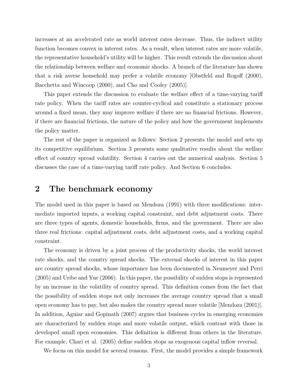increases at an accelerated rate as world interest rates decrease. Thus, the indirect utility function becomes convex in interest rates. As a result, when interest rates are more volatile, the representative household's utility will be higher. This result extends the discussion about the relationship between welfare and economic shocks. A branch of the literature has shown that a risk averse household may prefer a volatile economy [Obstfeld and Rogoff (2000), Bacchetta and Wincoop (2000), and Cho and Cooley (2005).

This paper extends the discussion to evaluate the welfare effect of a time-varying tariff rate policy. When the tariff rates are counter-cyclical and constitute a stationary process around a fixed mean, they may improve welfare if there are no financial frictions. However, if there are financial frictions, the nature of the policy and how the government implements the policy matter.

The rest of the paper is organized as follows: Section 2 presents the model and sets up its competitive equilibrium. Section 3 presents some qualitative results about the welfare effect of country spread volatility. Section 4 carries out the numerical analysis. Section 5 discusses the case of a time-varying tariff rate policy. And Section 6 concludes.

# 2 The benchmark economy

The model used in this paper is based on Mendoza (1991) with three modifications: intermediate imported inputs, a working capital constraint, and debt adjustment costs. There are three types of agents, domestic households, firms, and the government. There are also three real frictions: capital adjustment costs, debt adjustment costs, and a working capital constraint.

The economy is driven by a joint process of the productivity shocks, the world interest rate shocks, and the country spread shocks. The external shocks of interest in this paper are country spread shocks, whose importance has been documented in Neumeyer and Perri (2005) and Uribe and Yue (2006). In this paper, the possibility of sudden stops is represented by an increase in the volatility of country spread. This definition comes from the fact that the possibility of sudden stops not only increases the average country spread that a small open economy has to pay, but also makes the country spread more volatile [Mendoza (2001)]. In addition, Aguiar and Gopinath (2007) argues that business cycles in emerging economies are characterized by sudden stops and more volatile output, which contrast with those in developed small open economies. This definition is different from others in the literature. For example, Chari et al. (2005) define sudden stops as exogenous capital inflow reversal.

We focus on this model for several reasons. First, the model provides a simple framework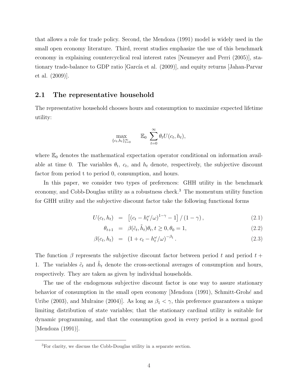that allows a role for trade policy. Second, the Mendoza (1991) model is widely used in the small open economy literature. Third, recent studies emphasize the use of this benchmark economy in explaining countercyclical real interest rates [Neumeyer and Perri (2005)], stationary trade-balance to GDP ratio [García et al. (2009)], and equity returns [Jahan-Parvar et al. (2009)].

#### 2.1 The representative household

The representative household chooses hours and consumption to maximize expected lifetime utility:

$$
\max_{\{c_t, h_t\}_{t=0}^{\infty}} \qquad \mathbb{E}_0 \sum_{t=0}^{\infty} \theta_t U(c_t, h_t),
$$

where  $\mathbb{E}_0$  denotes the mathematical expectation operator conditional on information available at time 0. The variables  $\theta_t$ ,  $c_t$ , and  $h_t$  denote, respectively, the subjective discount factor from period t to period 0, consumption, and hours.

In this paper, we consider two types of preferences: GHH utility in the benchmark economy, and Cobb-Douglas utility as a robustness check.<sup>3</sup> The momentum utility function for GHH utility and the subjective discount factor take the following functional forms

$$
U(c_t, h_t) = [(c_t - h_t^{\omega}/\omega)^{1-\gamma} - 1] / (1 - \gamma), \qquad (2.1)
$$

$$
\theta_{t+1} = \beta(\tilde{c}_t, \tilde{h}_t)\theta_t, t \ge 0, \theta_0 = 1,\tag{2.2}
$$

$$
\beta(c_t, h_t) = (1 + c_t - h_t^{\omega}/\omega)^{-\beta_1}.
$$
\n(2.3)

The function  $\beta$  represents the subjective discount factor between period t and period t + 1. The variables  $\tilde{c}_t$  and  $\tilde{h}_t$  denote the cross-sectional averages of consumption and hours, respectively. They are taken as given by individual households.

The use of the endogenous subjective discount factor is one way to assure stationary behavior of consumption in the small open economy [Mendoza  $(1991)$ , Schmitt-Grohé and Uribe (2003), and Mulraine (2004)]. As long as  $\beta_1 < \gamma$ , this preference guarantees a unique limiting distribution of state variables; that the stationary cardinal utility is suitable for dynamic programming, and that the consumption good in every period is a normal good [Mendoza (1991)].

<sup>3</sup>For clarity, we discuss the Cobb-Douglas utility in a separate section.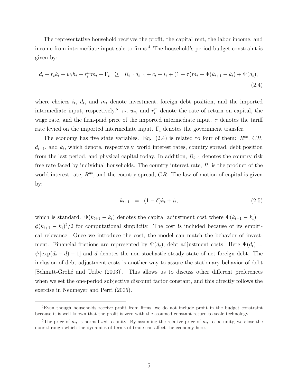The representative household receives the profit, the capital rent, the labor income, and income from intermediate input sale to firms.<sup>4</sup> The household's period budget constraint is given by:

$$
d_t + r_t k_t + w_t h_t + r_t^m m_t + \Gamma_t \geq R_{t-1} d_{t-1} + c_t + i_t + (1+\tau) m_t + \Phi(k_{t+1} - k_t) + \Psi(d_t),
$$
\n(2.4)

where choices  $i_t$ ,  $d_t$ , and  $m_t$  denote investment, foreign debt position, and the imported intermediate input, respectively.<sup>5</sup>  $r_t$ ,  $w_t$ , and  $r_t^{\text{m}}$  denote the rate of return on capital, the wage rate, and the firm-paid price of the imported intermediate input.  $\tau$  denotes the tariff rate levied on the imported intermediate input.  $\Gamma_t$  denotes the government transfer.

The economy has five state variables. Eq.  $(2.4)$  is related to four of them:  $R^{\text{us}}$ ,  $CR$ ,  $d_{t-1}$ , and  $k_t$ , which denote, respectively, world interest rates, country spread, debt position from the last period, and physical capital today. In addition,  $R_{t-1}$  denotes the country risk free rate faced by individual households. The country interest rate,  $R$ , is the product of the world interest rate,  $R^{us}$ , and the country spread,  $CR$ . The law of motion of capital is given by:

$$
k_{t+1} = (1 - \delta)k_t + i_t, \tag{2.5}
$$

which is standard.  $\Phi(k_{t+1} - k_t)$  denotes the capital adjustment cost where  $\Phi(k_{t+1} - k_t)$  =  $\phi(k_{t+1} - k_t)^2/2$  for computational simplicity. The cost is included because of its empirical relevance. Once we introduce the cost, the model can match the behavior of investment. Financial frictions are represented by  $\Psi(d_t)$ , debt adjustment costs. Here  $\Psi(d_t)$  =  $\psi \left[\exp(d_t - d) - 1\right]$  and d denotes the non-stochastic steady state of net foreign debt. The inclusion of debt adjustment costs is another way to assure the stationary behavior of debt [Schmitt-Groh´e and Uribe (2003)]. This allows us to discuss other different preferences when we set the one-period subjective discount factor constant, and this directly follows the exercise in Neumeyer and Perri (2005).

<sup>4</sup>Even though households receive profit from firms, we do not include profit in the budget constraint because it is well known that the profit is zero with the assumed constant return to scale technology.

<sup>&</sup>lt;sup>5</sup>The price of  $m_t$  is normalized to unity. By assuming the relative price of  $m_t$  to be unity, we close the door through which the dynamics of terms of trade can affect the economy here.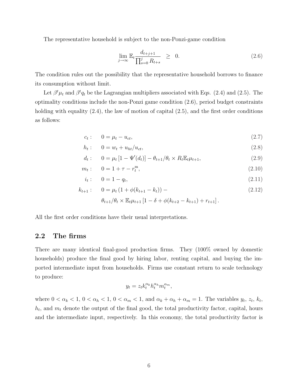The representative household is subject to the non-Ponzi-game condition

$$
\lim_{j \to \infty} \mathbb{E}_t \frac{d_{t+j+1}}{\prod_{s=0}^j R_{t+s}} \geq 0.
$$
\n(2.6)

The condition rules out the possibility that the representative household borrows to finance its consumption without limit.

Let  $\beta^t \mu_t$  and  $\beta^t q_t$  be the Lagrangian multipliers associated with Eqs. (2.4) and (2.5). The optimality conditions include the non-Ponzi game condition (2.6), period budget constraints holding with equality  $(2.4)$ , the law of motion of capital  $(2.5)$ , and the first order conditions as follows:

$$
c_t: \qquad 0 = \mu_t - u_{ct}, \tag{2.7}
$$

$$
h_t: \t 0 = w_t + u_{ht}/u_{ct}, \t (2.8)
$$

$$
d_t: \t 0 = \mu_t [1 - \Psi'(d_t)] - \theta_{t+1} / \theta_t \times R_t \mathbb{E}_t \mu_{t+1}, \t (2.9)
$$

$$
m_t: \t 0 = 1 + \tau - r_t^{\mathfrak{m}}, \t (2.10)
$$

$$
i_t: \t 0 = 1 - q_t,\t(2.11)
$$

$$
k_{t+1}: \quad 0 = \mu_t \left(1 + \phi(k_{t+1} - k_t)\right) - \tag{2.12}
$$

$$
\theta_{t+1}/\theta_t \times \mathbb{E}_t \mu_{t+1} [1 - \delta + \phi(k_{t+2} - k_{t+1}) + r_{t+1}].
$$

All the first order conditions have their usual interpretations.

### 2.2 The firms

There are many identical final-good production firms. They (100% owned by domestic households) produce the final good by hiring labor, renting capital, and buying the imported intermediate input from households. Firms use constant return to scale technology to produce:

$$
y_t = z_t k_t^{\alpha_k} h_t^{\alpha_h} m_t^{\alpha_m},
$$

where  $0 < \alpha_k < 1$ ,  $0 < \alpha_h < 1$ ,  $0 < \alpha_m < 1$ , and  $\alpha_k + \alpha_h + \alpha_m = 1$ . The variables  $y_t$ ,  $z_t$ ,  $k_t$ ,  $h_t$ , and  $m_t$  denote the output of the final good, the total productivity factor, capital, hours and the intermediate input, respectively. In this economy, the total productivity factor is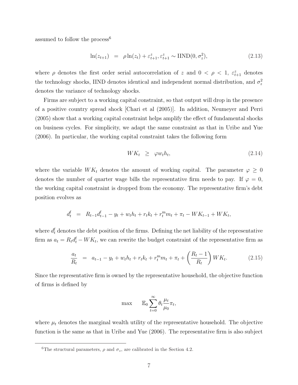assumed to follow the process<sup>6</sup>

$$
\ln(z_{t+1}) = \rho \ln(z_t) + \varepsilon_{t+1}^z, \varepsilon_{t+1}^z \sim \text{IIND}(0, \sigma_z^2), \tag{2.13}
$$

where  $\rho$  denotes the first order serial autocorrelation of z and  $0 < \rho < 1$ ,  $\varepsilon_{t+1}^z$  denotes the technology shocks, IIND denotes identical and independent normal distribution, and  $\sigma_z^2$ denotes the variance of technology shocks.

Firms are subject to a working capital constraint, so that output will drop in the presence of a positive country spread shock [Chari et al (2005)]. In addition, Neumeyer and Perri (2005) show that a working capital constraint helps amplify the effect of fundamental shocks on business cycles. For simplicity, we adapt the same constraint as that in Uribe and Yue (2006). In particular, the working capital constraint takes the following form

$$
WK_t \ge \varphi w_t h_t,\tag{2.14}
$$

where the variable  $WK_t$  denotes the amount of working capital. The parameter  $\varphi \geq 0$ denotes the number of quarter wage bills the representative firm needs to pay. If  $\varphi = 0$ , the working capital constraint is dropped from the economy. The representative firm's debt position evolves as

$$
d_t^f = R_{t-1}d_{t-1}^f - y_t + w_t h_t + r_t k_t + r_t^m m_t + \pi_t - W K_{t-1} + W K_t,
$$

where  $d_t^{\text{f}}$  denotes the debt position of the firms. Defining the net liability of the representative firm as  $a_t = R_t d_t^f - W K_t$ , we can rewrite the budget constraint of the representative firm as

$$
\frac{a_t}{R_t} = a_{t-1} - y_t + w_t h_t + r_t k_t + r_t^m m_t + \pi_t + \left(\frac{R_t - 1}{R_t}\right) W K_t.
$$
\n(2.15)

Since the representative firm is owned by the representative household, the objective function of firms is defined by

$$
\max \qquad \mathbb{E}_0 \sum_{t=0}^{\infty} \theta_t \frac{\mu_t}{\mu_0} \pi_t,
$$

where  $\mu_t$  denotes the marginal wealth utility of the representative household. The objective function is the same as that in Uribe and Yue (2006). The representative firm is also subject

<sup>&</sup>lt;sup>6</sup>The structural parameters,  $\rho$  and  $\sigma_z$ , are calibrated in the Section 4.2.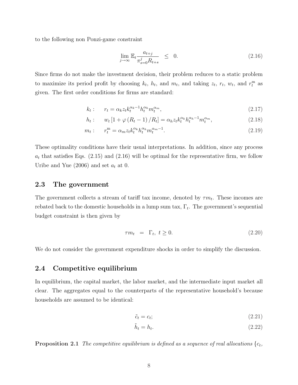to the following non Ponzi-game constraint

$$
\lim_{j \to \infty} \mathbb{E}_t \frac{a_{t+j}}{\pi_{s=0}^j R_{t+s}} \leq 0. \tag{2.16}
$$

Since firms do not make the investment decision, their problem reduces to a static problem to maximize its period profit by choosing  $k_t$ ,  $h_t$ , and  $m_t$ , and taking  $z_t$ ,  $r_t$ ,  $w_t$ , and  $r_t^{\text{m}}$  as given. The first order conditions for firms are standard:

$$
k_t: \t r_t = \alpha_k z_t k_t^{\alpha_k - 1} h_t^{\alpha_h} m_t^{\alpha_m}, \t (2.17)
$$

$$
h_t: \t w_t [1 + \varphi (R_t - 1) / R_t] = \alpha_h z_t k_t^{\alpha_k} h_t^{\alpha_{k-1}} m_t^{\alpha_m}, \t (2.18)
$$

$$
m_t: \t r_t^{\mathbf{m}} = \alpha_m z_t k_t^{\alpha_k} h_t^{\alpha_k} m_t^{\alpha_m - 1}.
$$
\t(2.19)

These optimality conditions have their usual interpretations. In addition, since any process  $a_t$  that satisfies Eqs. (2.15) and (2.16) will be optimal for the representative firm, we follow Uribe and Yue (2006) and set  $a_t$  at 0.

### 2.3 The government

The government collects a stream of tariff tax income, denoted by  $\tau m_t$ . These incomes are rebated back to the domestic households in a lump sum tax,  $\Gamma_t$ . The government's sequential budget constraint is then given by

$$
\tau m_t = \Gamma_t, \ t \ge 0. \tag{2.20}
$$

We do not consider the government expenditure shocks in order to simplify the discussion.

#### 2.4 Competitive equilibrium

In equilibrium, the capital market, the labor market, and the intermediate input market all clear. The aggregates equal to the counterparts of the representative household's because households are assumed to be identical:

$$
\tilde{c}_t = c_t; \tag{2.21}
$$

$$
\tilde{h}_t = h_t. \tag{2.22}
$$

**Proposition 2.1** The competitive equilibrium is defined as a sequence of real allocations  $\{c_t, c_t\}$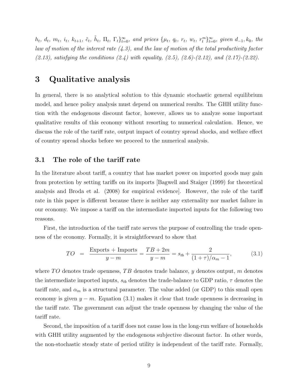$h_t, d_t, m_t, i_t, k_{t+1}, \tilde{c}_t, \tilde{h}_t, \Pi_t, \Gamma_t\}_{t=0}^{\infty}$ , and prices  $\{\mu_t, q_t, r_t, w_t, r_t^m\}_{t=0}^{\infty}$ , given  $d_{-1}, k_0$ , the law of motion of the interest rate  $(4.3)$ , and the law of motion of the total productivity factor  $(2.13)$ , satisfying the conditions  $(2.4)$  with equality,  $(2.5)$ ,  $(2.6)-(2.12)$ , and  $(2.17)-(2.22)$ .

## 3 Qualitative analysis

In general, there is no analytical solution to this dynamic stochastic general equilibrium model, and hence policy analysis must depend on numerical results. The GHH utility function with the endogenous discount factor, however, allows us to analyze some important qualitative results of this economy without resorting to numerical calculation. Hence, we discuss the role of the tariff rate, output impact of country spread shocks, and welfare effect of country spread shocks before we proceed to the numerical analysis.

### 3.1 The role of the tariff rate

In the literature about tariff, a country that has market power on imported goods may gain from protection by setting tariffs on its imports [Bagwell and Staiger (1999) for theoretical analysis and Broda et al. (2008) for empirical evidence]. However, the role of the tariff rate in this paper is different because there is neither any externality nor market failure in our economy. We impose a tariff on the intermediate imported inputs for the following two reasons.

First, the introduction of the tariff rate serves the purpose of controlling the trade openness of the economy. Formally, it is straightforward to show that

$$
TO = \frac{\text{Exports} + \text{Imports}}{y - m} = \frac{TB + 2m}{y - m} = s_{tb} + \frac{2}{(1 + \tau)/\alpha_m - 1},
$$
(3.1)

where  $TO$  denotes trade openness,  $TB$  denotes trade balance, y denotes output, m denotes the intermediate imported inputs,  $s_{tb}$  denotes the trade-balance to GDP ratio,  $\tau$  denotes the tariff rate, and  $\alpha_m$  is a structural parameter. The value added (or GDP) to this small open economy is given  $y - m$ . Equation (3.1) makes it clear that trade openness is decreasing in the tariff rate. The government can adjust the trade openness by changing the value of the tariff rate.

Second, the imposition of a tariff does not cause loss in the long-run welfare of households with GHH utility augmented by the endogenous subjective discount factor. In other words, the non-stochastic steady state of period utility is independent of the tariff rate. Formally,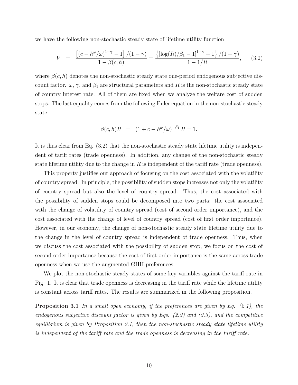we have the following non-stochastic steady state of lifetime utility function

$$
V = \frac{\left[ (c - h^{\omega}/\omega)^{1-\gamma} - 1 \right] / (1 - \gamma)}{1 - \beta(c, h)} = \frac{\left\{ \left[ \log(R)/\beta_1 - 1 \right]^{1-\gamma} - 1 \right\} / (1 - \gamma)}{1 - 1/R}, \quad (3.2)
$$

where  $\beta(c, h)$  denotes the non-stochastic steady state one-period endogenous subjective discount factor.  $\omega$ ,  $\gamma$ , and  $\beta_1$  are structural parameters and R is the non-stochastic steady state of country interest rate. All of them are fixed when we analyze the welfare cost of sudden stops. The last equality comes from the following Euler equation in the non-stochastic steady state:

$$
\beta(c, h)R = (1 + c - h^{\omega}/\omega)^{-\beta_1} R = 1.
$$

It is thus clear from Eq. (3.2) that the non-stochastic steady state lifetime utility is independent of tariff rates (trade openness). In addition, any change of the non-stochastic steady state lifetime utility due to the change in  $R$  is independent of the tariff rate (trade openness).

This property justifies our approach of focusing on the cost associated with the volatility of country spread. In principle, the possibility of sudden stops increases not only the volatility of country spread but also the level of country spread. Thus, the cost associated with the possibility of sudden stops could be decomposed into two parts: the cost associated with the change of volatility of country spread (cost of second order importance), and the cost associated with the change of level of country spread (cost of first order importance). However, in our economy, the change of non-stochastic steady state lifetime utility due to the change in the level of country spread is independent of trade openness. Thus, when we discuss the cost associated with the possibility of sudden stop, we focus on the cost of second order importance because the cost of first order importance is the same across trade openness when we use the augmented GHH preferences.

We plot the non-stochastic steady states of some key variables against the tariff rate in Fig. 1. It is clear that trade openness is decreasing in the tariff rate while the lifetime utility is constant across tariff rates. The results are summarized in the following proposition.

**Proposition 3.1** In a small open economy, if the preferences are given by Eq.  $(2.1)$ , the endogenous subjective discount factor is given by Eqs. (2.2) and (2.3), and the competitive equilibrium is given by Proposition 2.1, then the non-stochastic steady state lifetime utility is independent of the tariff rate and the trade openness is decreasing in the tariff rate.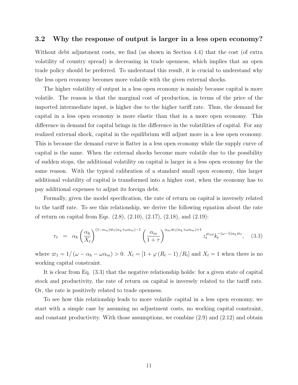### 3.2 Why the response of output is larger in a less open economy?

Without debt adjustment costs, we find (as shown in Section 4.4) that the cost (of extra volatility of country spread) is decreasing in trade openness, which implies that an open trade policy should be preferred. To understand this result, it is crucial to understand why the less open economy becomes more volatile with the given external shocks.

The higher volatility of output in a less open economy is mainly because capital is more volatile. The reason is that the marginal cost of production, in terms of the price of the imported intermediate input, is higher due to the higher tariff rate. Thus, the demand for capital in a less open economy is more elastic than that in a more open economy. This difference in demand for capital brings in the difference in the volatilities of capital. For any realized external shock, capital in the equilibrium will adjust more in a less open economy. This is because the demand curve is flatter in a less open economy while the supply curve of capital is the same. When the external shocks become more volatile due to the possibility of sudden stops, the additional volatility on capital is larger in a less open economy for the same reason. With the typical calibration of a standard small open economy, this larger additional volatility of capital is transformed into a higher cost, when the economy has to pay additional expenses to adjust its foreign debt.

Formally, given the model specification, the rate of return on capital is inversely related to the tariff rate. To see this relationship, we derive the following equation about the rate of return on capital from Eqs. (2.8), (2.10), (2.17), (2.18), and (2.19):

$$
r_t = \alpha_k \left(\frac{\alpha_h}{X_t}\right)^{(1-\alpha_m)\varpi_1(\alpha_h+\omega\alpha_m)-1} \left(\frac{\alpha_m}{1+\tau}\right)^{\alpha_m\varpi_1(\alpha_h+\omega\alpha_m)+1} z_t^{\varpi_1\omega} k_t^{-(\omega-1)\alpha_h\varpi_1}, \quad (3.3)
$$

where  $\varpi_1 = 1/(\omega - \alpha_h - \omega \alpha_m) > 0$ .  $X_t = \left[1 + \varphi (R_t - 1)/R_t\right]$  and  $X_t = 1$  when there is no working capital constraint.

It is clear from Eq. (3.3) that the negative relationship holds: for a given state of capital stock and productivity, the rate of return on capital is inversely related to the tariff rate. Or, the rate is positively related to trade openness.

To see how this relationship leads to more volatile capital in a less open economy, we start with a simple case by assuming no adjustment costs, no working capital constraint, and constant productivity. With those assumptions, we combine  $(2.9)$  and  $(2.12)$  and obtain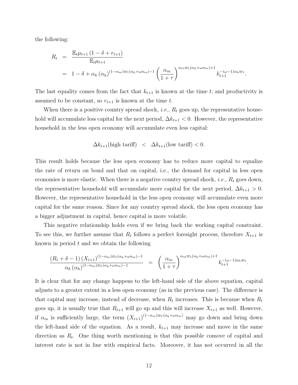the following:

$$
R_{t} = \frac{\mathbb{E}_{t} \mu_{t+1} (1 - \delta + r_{t+1})}{\mathbb{E}_{t} \mu_{t+1}} = 1 - \delta + \alpha_{k} (\alpha_{h})^{(1 - \alpha_{m})\varpi_{1}(\alpha_{h} + \omega\alpha_{m}) - 1} \left( \frac{\alpha_{m}}{1 + \tau} \right)^{\alpha_{m}\varpi_{1}(\alpha_{h} + \omega\alpha_{m}) + 1} k_{t+1}^{-(\omega - 1)\alpha_{h}\varpi_{1}}.
$$

The last equality comes from the fact that  $k_{t+1}$  is known at the time t; and productivity is assumed to be constant, so  $r_{t+1}$  is known at the time t.

When there is a positive country spread shock, *i.e.*,  $R_t$  goes up, the representative household will accumulate less capital for the next period,  $\Delta k_{t+1} < 0$ . However, the representative household in the less open economy will accumulate even less capital:

$$
\Delta k_{t+1}(\text{high tariff}) < \Delta k_{t+1}(\text{low tariff}) < 0.
$$

This result holds because the less open economy has to reduce more capital to equalize the rate of return on bond and that on capital, i.e., the demand for capital in less open economies is more elastic. When there is a negative country spread shock, *i.e.*,  $R_t$  goes down, the representative household will accumulate more capital for the next period,  $\Delta k_{t+1} > 0$ . However, the representative household in the less open economy will accumulate even more capital for the same reason. Since for any country spread shock, the less open economy has a bigger adjustment in capital, hence capital is more volatile.

This negative relationship holds even if we bring back the working capital constraint. To see this, we further assume that  $R_t$  follows a perfect foresight process, therefore  $X_{t+1}$  is known in period  $t$  and we obtain the following

$$
\frac{\left(R_t + \delta - 1\right) \left(X_{t+1}\right)^{(1-\alpha_m)\varpi_1(\alpha_h+\omega\alpha_m)-1}}{\alpha_k \left(\alpha_h\right)^{(1-\alpha_m)\varpi_1(\alpha_h+\omega\alpha_m)-1}} = \left(\frac{\alpha_m}{1+\tau}\right)^{\alpha_m\varpi_1(\alpha_h+\omega\alpha_m)+1} k_{t+1}^{-(\omega-1)\alpha_h\varpi_1}.
$$

It is clear that for any change happens to the left-hand side of the above equation, capital adjusts to a greater extent in a less open economy (as in the previous case). The difference is that capital may increase, instead of decrease, when  $R_t$  increases. This is because when  $R_t$ goes up, it is usually true that  $R_{t+1}$  will go up and this will increase  $X_{t+1}$  as well. However, if  $\alpha_m$  is sufficiently large, the term  $(X_{t+1})^{(1-\alpha_m)\varpi_1(\alpha_h+\omega_{\alpha_m})}$  may go down and bring down the left-hand side of the equation. As a result,  $k_{t+1}$  may increase and move in the same direction as  $R_t$ . One thing worth mentioning is that this possible comove of capital and interest rate is not in line with empirical facts. Moreover, it has not occurred in all the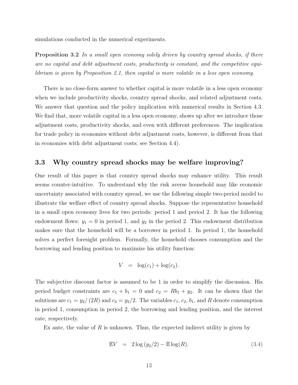simulations conducted in the numerical experiments.

Proposition 3.2 In a small open economy solely driven by country spread shocks, if there are no capital and debt adjustment costs, productivity is constant, and the competitive equilibrium is given by Proposition 2.1, then capital is more volatile in a less open economy.

There is no close-form answer to whether capital is more volatile in a less open economy when we include productivity shocks, country spread shocks, and related adjustment costs. We answer that question and the policy implication with numerical results in Section 4.3. We find that, more volatile capital in a less open economy, shows up after we introduce those adjustment costs, productivity shocks, and even with different preferences. The implication for trade policy in economies without debt adjustment costs, however, is different from that in economies with debt adjustment costs; see Section 4.4).

### 3.3 Why country spread shocks may be welfare improving?

One result of this paper is that country spread shocks may enhance utility. This result seems counter-intuitive. To understand why the risk averse household may like economic uncertainty associated with country spread, we use the following simple two-period model to illustrate the welfare effect of country spread shocks. Suppose the representative household in a small open economy lives for two periods: period 1 and period 2. It has the following endowment flows:  $y_1 = 0$  in period 1, and  $y_2$  in the period 2. This endowment distribution makes sure that the household will be a borrower in period 1. In period 1, the household solves a perfect foresight problem. Formally, the household chooses consumption and the borrowing and lending position to maximize his utility function:

$$
V = \log(c_1) + \log(c_2).
$$

The subjective discount factor is assumed to be 1 in order to simplify the discussion. His period budget constraints are  $c_1 + b_1 = 0$  and  $c_2 = Rb_1 + y_2$ . It can be shown that the solutions are  $c_1 = y_2/(2R)$  and  $c_2 = y_2/2$ . The variables  $c_1, c_2, b_1$ , and R denote consumption in period 1, consumption in period 2, the borrowing and lending position, and the interest rate, respectively.

Ex ante, the value of  $R$  is unknown. Thus, the expected indirect utility is given by

$$
\mathbb{E}V = 2\log\left(\frac{y_2}{2}\right) - \mathbb{E}\log(R). \tag{3.4}
$$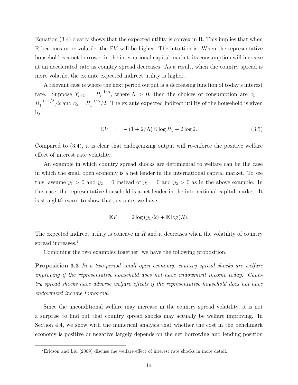Equation (3.4) clearly shows that the expected utility is convex in R. This implies that when R becomes more volatile, the EV will be higher. The intuition is: When the representative household is a net borrower in the international capital market, its consumption will increase at an accelerated rate as country spread decreases. As a result, when the country spread is more volatile, the ex ante expected indirect utility is higher.

A relevant case is where the next period output is a decreasing function of today's interest rate. Suppose  $Y_{t+1} = R_t^{-1/\Lambda}$  $t_t^{-1/\Lambda}$ , where  $\Lambda > 0$ , then the choices of consumption are  $c_1 =$  $R_1^{-1-1/\Lambda}$  $t_1^{-1-1/\Lambda}/2$  and  $c_2 = R_1^{-1/\Lambda}$  $1/2$ . The ex ante expected indirect utility of the household is given by:

$$
\mathbb{E}V = -(1+2/\Lambda)\mathbb{E}\log R_1 - 2\log 2. \tag{3.5}
$$

Compared to (3.4), it is clear that endogenizing output will re-enforce the positive welfare effect of interest rate volatility.

An example in which country spread shocks are detrimental to welfare can be the case in which the small open economy is a net lender in the international capital market. To see this, assume  $y_1 > 0$  and  $y_2 = 0$  instead of  $y_1 = 0$  and  $y_2 > 0$  as in the above example. In this case, the representative household is a net lender in the international capital market. It is straightforward to show that, ex ante, we have

$$
\mathbb{E}V = 2\log(y_1/2) + \mathbb{E}\log(R).
$$

The expected indirect utility is concave in  $R$  and it decreases when the volatility of country spread increases.<sup>7</sup>

Combining the two examples together, we have the following proposition.

Proposition 3.3 In a two-period small open economy, country spread shocks are welfare improving if the representative household does not have endowment income today. Country spread shocks have adverse welfare effects if the representative household does not have endowment income tomorrow.

Since the unconditional welfare may increase in the country spread volatility, it is not a surprise to find out that country spread shocks may actually be welfare improving. In Section 4.4, we show with the numerical analysis that whether the cost in the benchmark economy is positive or negative largely depends on the net borrowing and lending position

<sup>7</sup>Ericson and Liu (2009) discuss the welfare effect of interest rate shocks in more detail.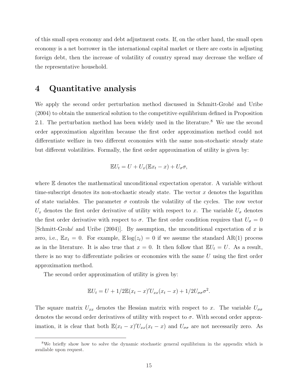of this small open economy and debt adjustment costs. If, on the other hand, the small open economy is a net borrower in the international capital market or there are costs in adjusting foreign debt, then the increase of volatility of country spread may decrease the welfare of the representative household.

### 4 Quantitative analysis

We apply the second order perturbation method discussed in Schmitt-Grohé and Uribe (2004) to obtain the numerical solution to the competitive equilibrium defined in Proposition 2.1. The perturbation method has been widely used in the literature.<sup>8</sup> We use the second order approximation algorithm because the first order approximation method could not differentiate welfare in two different economies with the same non-stochastic steady state but different volatilities. Formally, the first order approximation of utility is given by:

$$
\mathbb{E}U_t = U + U_x(\mathbb{E}x_t - x) + U_\sigma\sigma,
$$

where E denotes the mathematical unconditional expectation operator. A variable without time-subscript denotes its non-stochastic steady state. The vector  $x$  denotes the logarithm of state variables. The parameter  $\sigma$  controls the volatility of the cycles. The row vector  $U_x$  denotes the first order derivative of utility with respect to x. The variable  $U_{\sigma}$  denotes the first order derivative with respect to  $\sigma$ . The first order condition requires that  $U_{\sigma} = 0$  $[\text{Schmitt-Grohé}$  and Uribe (2004). By assumption, the unconditional expectation of x is zero, i.e.,  $\mathbb{E}x_t = 0$ . For example,  $\mathbb{E} \log(z_t) = 0$  if we assume the standard AR(1) process as in the literature. It is also true that  $x = 0$ . It then follow that  $\mathbb{E}U_t = U$ . As a result, there is no way to differentiate policies or economies with the same  $U$  using the first order approximation method.

The second order approximation of utility is given by:

$$
\mathbb{E}U_t = U + 1/2\mathbb{E}(x_t - x)'U_{xx}(x_t - x) + 1/2U_{\sigma\sigma}\sigma^2.
$$

The square matrix  $U_{xx}$  denotes the Hessian matrix with respect to x. The variable  $U_{\sigma\sigma}$ denotes the second order derivatives of utility with respect to  $\sigma$ . With second order approximation, it is clear that both  $\mathbb{E}(x_t - x)'U_{xx}(x_t - x)$  and  $U_{\sigma\sigma}$  are not necessarily zero. As

<sup>&</sup>lt;sup>8</sup>We briefly show how to solve the dynamic stochastic general equilibrium in the appendix which is available upon request.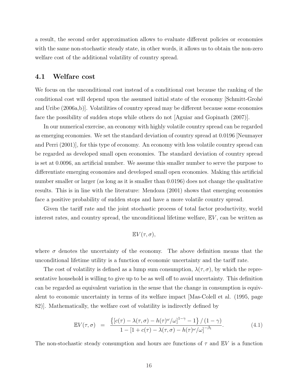a result, the second order approximation allows to evaluate different policies or economies with the same non-stochastic steady state, in other words, it allows us to obtain the non-zero welfare cost of the additional volatility of country spread.

#### 4.1 Welfare cost

We focus on the unconditional cost instead of a conditional cost because the ranking of the conditional cost will depend upon the assumed initial state of the economy Schmitt-Grohé and Uribe (2006a,b)]. Volatilities of country spread may be different because some economies face the possibility of sudden stops while others do not [Aguiar and Gopinath (2007)].

In our numerical exercise, an economy with highly volatile country spread can be regarded as emerging economies. We set the standard deviation of country spread at 0.0196 [Neumayer and Perri (2001)], for this type of economy. An economy with less volatile country spread can be regarded as developed small open economies. The standard deviation of country spread is set at 0.0096, an artificial number. We assume this smaller number to serve the purpose to differentiate emerging economies and developed small open economies. Making this artificial number smaller or larger (as long as it is smaller than 0.0196) does not change the qualitative results. This is in line with the literature: Mendoza (2001) shows that emerging economies face a positive probability of sudden stops and have a more volatile country spread.

Given the tariff rate and the joint stochastic process of total factor productivity, world interest rates, and country spread, the unconditional lifetime welfare,  $\mathbb{E}V$ , can be written as

$$
\mathbb{E}V(\tau,\sigma),
$$

where  $\sigma$  denotes the uncertainty of the economy. The above definition means that the unconditional lifetime utility is a function of economic uncertainty and the tariff rate.

The cost of volatility is defined as a lump sum consumption,  $\lambda(\tau, \sigma)$ , by which the representative household is willing to give up to be as well off to avoid uncertainty. This definition can be regarded as equivalent variation in the sense that the change in consumption is equivalent to economic uncertainty in terms of its welfare impact [Mas-Colell et al. (1995, page 82)]. Mathematically, the welfare cost of volatility is indirectly defined by

$$
\mathbb{E}V(\tau,\sigma) = \frac{\left\{ \left[ c(\tau) - \lambda(\tau,\sigma) - h(\tau)^{\omega}/\omega \right]^{1-\gamma} - 1 \right\} / (1-\gamma)}{1 - \left[ 1 + c(\tau) - \lambda(\tau,\sigma) - h(\tau)^{\omega}/\omega \right]^{-\beta_1}}.
$$
(4.1)

The non-stochastic steady consumption and hours are functions of  $\tau$  and  $\mathbb{E}V$  is a function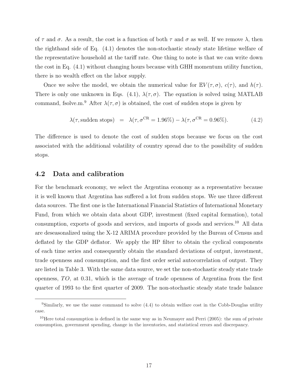of  $\tau$  and  $\sigma$ . As a result, the cost is a function of both  $\tau$  and  $\sigma$  as well. If we remove  $\lambda$ , then the righthand side of Eq. (4.1) denotes the non-stochastic steady state lifetime welfare of the representative household at the tariff rate. One thing to note is that we can write down the cost in Eq. (4.1) without changing hours because with GHH momentum utility function, there is no wealth effect on the labor supply.

Once we solve the model, we obtain the numerical value for  $\mathbb{E}V(\tau,\sigma)$ ,  $c(\tau)$ , and  $h(\tau)$ . There is only one unknown in Eqs. (4.1),  $\lambda(\tau,\sigma)$ . The equation is solved using MATLAB command, fsolve.m.<sup>9</sup> After  $\lambda(\tau,\sigma)$  is obtained, the cost of sudden stops is given by

$$
\lambda(\tau, \text{sudden stops}) = \lambda(\tau, \sigma^{\text{CR}} = 1.96\%) - \lambda(\tau, \sigma^{\text{CR}} = 0.96\%). \tag{4.2}
$$

The difference is used to denote the cost of sudden stops because we focus on the cost associated with the additional volatility of country spread due to the possibility of sudden stops.

### 4.2 Data and calibration

For the benchmark economy, we select the Argentina economy as a representative because it is well known that Argentina has suffered a lot from sudden stops. We use three different data sources. The first one is the International Financial Statistics of International Monetary Fund, from which we obtain data about GDP, investment (fixed capital formation), total consumption, exports of goods and services, and imports of goods and services.<sup>10</sup> All data are deseasonalized using the X-12 ARIMA procedure provided by the Bureau of Census and deflated by the GDP deflator. We apply the HP filter to obtain the cyclical components of each time series and consequently obtain the standard deviations of output, investment, trade openness and consumption, and the first order serial autocorrelation of output. They are listed in Table 3. With the same data source, we set the non-stochastic steady state trade openness, TO, at 0.31, which is the average of trade openness of Argentina from the first quarter of 1993 to the first quarter of 2009. The non-stochastic steady state trade balance

<sup>&</sup>lt;sup>9</sup>Similarly, we use the same command to solve  $(4.4)$  to obtain welfare cost in the Cobb-Douglas utility case.

<sup>&</sup>lt;sup>10</sup>Here total consumption is defined in the same way as in Neumayer and Perri (2005): the sum of private consumption, government spending, change in the inventories, and statistical errors and discrepancy.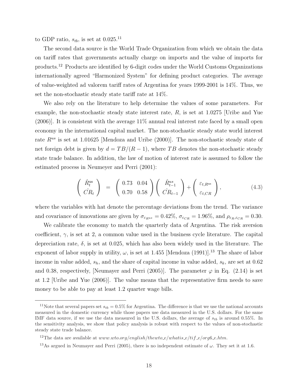to GDP ratio,  $s_{tb}$ , is set at 0.025.<sup>11</sup>

The second data source is the World Trade Organization from which we obtain the data on tariff rates that governments actually charge on imports and the value of imports for products.<sup>12</sup> Products are identified by 6-digit codes under the World Customs Organizations internationally agreed "Harmonized System" for defining product categories. The average of value-weighted ad valorem tariff rates of Argentina for years 1999-2001 is 14%. Thus, we set the non-stochastic steady state tariff rate at 14%.

We also rely on the literature to help determine the values of some parameters. For example, the non-stochastic steady state interest rate, R, is set at 1.0275 [Uribe and Yue (2006)]. It is consistent with the average 11% annual real interest rate faced by a small open economy in the international capital market. The non-stochastic steady state world interest rate  $R^{us}$  is set at 1.01625 [Mendoza and Uribe (2000)]. The non-stochastic steady state of net foreign debt is given by  $d = TB/(R - 1)$ , where TB denotes the non-stochastic steady state trade balance. In addition, the law of motion of interest rate is assumed to follow the estimated process in Neumeyer and Perri (2001):

$$
\begin{pmatrix}\n\hat{R}_t^{\text{us}} \\
\hat{C}R_t\n\end{pmatrix} = \begin{pmatrix}\n0.73 & 0.04 \\
0.70 & 0.58\n\end{pmatrix}\n\begin{pmatrix}\n\hat{R}_{t-1}^{\text{us}} \\
\hat{C}R_{t-1}\n\end{pmatrix} + \begin{pmatrix}\n\varepsilon_{t,R^{\text{us}}}\n\end{pmatrix},
$$
\n(4.3)

where the variables with hat denote the percentage deviations from the trend. The variance and covariance of innovations are given by  $\sigma_{\varepsilon_{R^{us}}} = 0.42\%$ ,  $\sigma_{\varepsilon_{CR}} = 1.96\%$ , and  $\rho_{\varepsilon_{R},\varepsilon_{CR}} = 0.30$ .

We calibrate the economy to match the quarterly data of Argentina. The risk aversion coefficient,  $\gamma$ , is set at 2, a common value used in the business cycle literature. The capital depreciation rate,  $\delta$ , is set at 0.025, which has also been widely used in the literature. The exponent of labor supply in utility,  $\omega$ , is set at 1.455 [Mendoza (1991)].<sup>13</sup> The share of labor income in value added,  $s_h$ , and the share of capital income in value added,  $s_k$ , are set at 0.62 and 0.38, respectively, [Neumayer and Perri (2005)]. The parameter  $\varphi$  in Eq. (2.14) is set at 1.2 [Uribe and Yue (2006)]. The value means that the representative firm needs to save money to be able to pay at least 1.2 quarter wage bills.

<sup>&</sup>lt;sup>11</sup>Note that several papers set  $s_{th} = 0.5\%$  for Argentina. The difference is that we use the national accounts measured in the domestic currency while those papers use data measured in the U.S. dollars. For the same IMF data source, if we use the data measured in the U.S. dollars, the average of  $s_{tb}$  is around 0.55%. In the sensitivity analysis, we show that policy analysis is robust with respect to the values of non-stochastic steady state trade balance.

<sup>&</sup>lt;sup>12</sup>The data are available at www.wto.org/english/thewto\_e/whatis\_e/tif\_e/org6\_e.htm.

<sup>&</sup>lt;sup>13</sup>As argued in Neumayer and Perri (2005), there is no independent estimate of  $\omega$ . They set it at 1.6.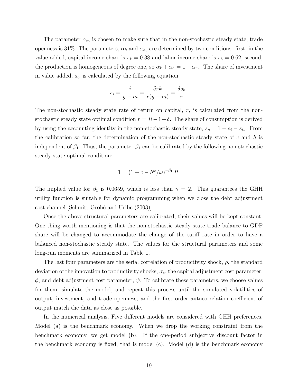The parameter  $\alpha_m$  is chosen to make sure that in the non-stochastic steady state, trade openness is 31%. The parameters,  $\alpha_k$  and  $\alpha_h$ , are determined by two conditions: first, in the value added, capital income share is  $s_k = 0.38$  and labor income share is  $s_h = 0.62$ ; second, the production is homogeneous of degree one, so  $\alpha_k + \alpha_h = 1 - \alpha_m$ . The share of investment in value added,  $s_i$ , is calculated by the following equation:

$$
s_i = \frac{i}{y-m} = \frac{\delta rk}{r(y-m)} = \frac{\delta s_k}{r}.
$$

The non-stochastic steady state rate of return on capital,  $r$ , is calculated from the nonstochastic steady state optimal condition  $r = R - 1 + \delta$ . The share of consumption is derived by using the accounting identity in the non-stochastic steady state,  $s_c = 1 - s_i - s_{tb}$ . From the calibration so far, the determination of the non-stochastic steady state of  $c$  and  $h$  is independent of  $\beta_1$ . Thus, the parameter  $\beta_1$  can be calibrated by the following non-stochastic steady state optimal condition:

$$
1 = (1 + c - h^{\omega}/\omega)^{-\beta_1} R.
$$

The implied value for  $\beta_1$  is 0.0659, which is less than  $\gamma = 2$ . This guarantees the GHH utility function is suitable for dynamic programming when we close the debt adjustment cost channel Schmitt-Grohé and Uribe (2003).

Once the above structural parameters are calibrated, their values will be kept constant. One thing worth mentioning is that the non-stochastic steady state trade balance to GDP share will be changed to accommodate the change of the tariff rate in order to have a balanced non-stochastic steady state. The values for the structural parameters and some long-run moments are summarized in Table 1.

The last four parameters are the serial correlation of productivity shock,  $\rho$ , the standard deviation of the innovation to productivity shocks,  $\sigma_z$ , the capital adjustment cost parameter,  $\phi$ , and debt adjustment cost parameter,  $\psi$ . To calibrate these parameters, we choose values for them, simulate the model, and repeat this process until the simulated volatilities of output, investment, and trade openness, and the first order autocorrelation coefficient of output match the data as close as possible.

In the numerical analysis, Five different models are considered with GHH preferences. Model (a) is the benchmark economy. When we drop the working constraint from the benchmark economy, we get model (b). If the one-period subjective discount factor in the benchmark economy is fixed, that is model (c). Model (d) is the benchmark economy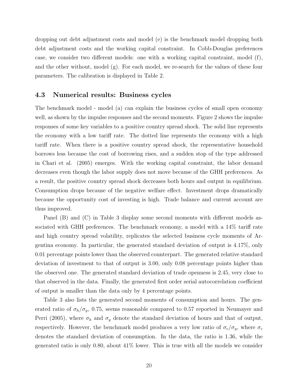dropping out debt adjustment costs and model (e) is the benchmark model dropping both debt adjustment costs and the working capital constraint. In Cobb-Douglas preferences case, we consider two different models: one with a working capital constraint, model (f), and the other without, model (g). For each model, we re-search for the values of these four parameters. The calibration is displayed in Table 2.

#### 4.3 Numerical results: Business cycles

The benchmark model - model (a) can explain the business cycles of small open economy well, as shown by the impulse responses and the second moments. Figure 2 shows the impulse responses of some key variables to a positive country spread shock. The solid line represents the economy with a low tariff rate. The dotted line represents the economy with a high tariff rate. When there is a positive country spread shock, the representative household borrows less because the cost of borrowing rises, and a sudden stop of the type addressed in Chari et al. (2005) emerges. With the working capital constraint, the labor demand decreases even though the labor supply does not move because of the GHH preferences. As a result, the positive country spread shock decreases both hours and output in equilibrium. Consumption drops because of the negative welfare effect. Investment drops dramatically because the opportunity cost of investing is high. Trade balance and current account are thus improved.

Panel (B) and (C) in Table 3 display some second moments with different models associated with GHH preferences. The benchmark economy, a model with a 14% tariff rate and high country spread volatility, replicates the selected business cycle moments of Argentina economy. In particular, the generated standard deviation of output is 4.17%, only 0.01 percentage points lower than the observed counterpart. The generated relative standard deviation of investment to that of output is 3.00, only 0.08 percentage points higher than the observed one. The generated standard deviation of trade openness is 2.45, very close to that observed in the data. Finally, the generated first order serial autocorrelation coefficient of output is smaller than the data only by 4 percentage points.

Table 3 also lists the generated second moments of consumption and hours. The generated ratio of  $\sigma_h/\sigma_y$ , 0.75, seems reasonable compared to 0.57 reported in Neumayer and Perri (2005), where  $\sigma_h$  and  $\sigma_y$  denote the standard deviation of hours and that of output, respectively. However, the benchmark model produces a very low ratio of  $\sigma_c/\sigma_y$ , where  $\sigma_c$ denotes the standard deviation of consumption. In the data, the ratio is 1.36, while the generated ratio is only 0.80, about 41% lower. This is true with all the models we consider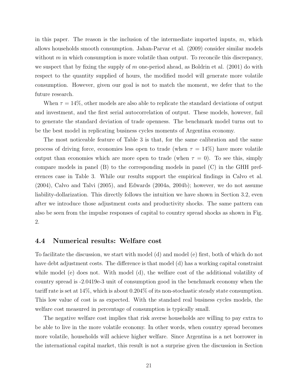in this paper. The reason is the inclusion of the intermediate imported inputs,  $m$ , which allows households smooth consumption. Jahan-Parvar et al. (2009) consider similar models without  $m$  in which consumption is more volatile than output. To reconcile this discrepancy, we suspect that by fixing the supply of  $m$  one-period ahead, as Boldrin et al. (2001) do with respect to the quantity supplied of hours, the modified model will generate more volatile consumption. However, given our goal is not to match the moment, we defer that to the future research.

When  $\tau = 14\%$ , other models are also able to replicate the standard deviations of output and investment, and the first serial autocorrelation of output. These models, however, fail to generate the standard deviation of trade openness. The benchmark model turns out to be the best model in replicating business cycles moments of Argentina economy.

The most noticeable feature of Table 3 is that, for the same calibration and the same process of driving force, economies less open to trade (when  $\tau = 14\%$ ) have more volatile output than economies which are more open to trade (when  $\tau = 0$ ). To see this, simply compare models in panel (B) to the corresponding models in panel (C) in the GHH preferences case in Table 3. While our results support the empirical findings in Calvo et al. (2004), Calvo and Talvi (2005), and Edwards (2004a, 2004b); however, we do not assume liability-dollarization. This directly follows the intuition we have shown in Section 3.2, even after we introduce those adjustment costs and productivity shocks. The same pattern can also be seen from the impulse responses of capital to country spread shocks as shown in Fig. 2.

#### 4.4 Numerical results: Welfare cost

To facilitate the discussion, we start with model (d) and model (e) first, both of which do not have debt adjustment costs. The difference is that model (d) has a working capital constraint while model (e) does not. With model (d), the welfare cost of the additional volatility of country spread is -2.0419e-3 unit of consumption good in the benchmark economy when the tariff rate is set at 14%, which is about 0.204% of its non-stochastic steady state consumption. This low value of cost is as expected. With the standard real business cycles models, the welfare cost measured in percentage of consumption is typically small.

The negative welfare cost implies that risk averse households are willing to pay extra to be able to live in the more volatile economy. In other words, when country spread becomes more volatile, households will achieve higher welfare. Since Argentina is a net borrower in the international capital market, this result is not a surprise given the discussion in Section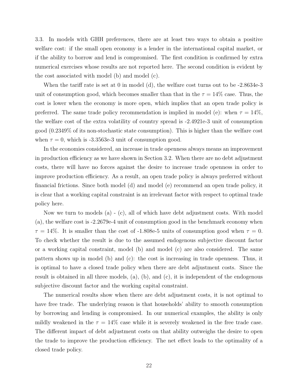3.3. In models with GHH preferences, there are at least two ways to obtain a positive welfare cost: if the small open economy is a lender in the international capital market, or if the ability to borrow and lend is compromised. The first condition is confirmed by extra numerical exercises whose results are not reported here. The second condition is evident by the cost associated with model (b) and model (c).

When the tariff rate is set at 0 in model (d), the welfare cost turns out to be -2.8634e-3 unit of consumption good, which becomes smaller than that in the  $\tau = 14\%$  case. Thus, the cost is lower when the economy is more open, which implies that an open trade policy is preferred. The same trade policy recommendation is implied in model (e): when  $\tau = 14\%$ , the welfare cost of the extra volatility of country spread is -2.4921e-3 unit of consumption good (0.2349% of its non-stochastic state consumption). This is higher than the welfare cost when  $\tau = 0$ , which is -3.3563e-3 unit of consumption good.

In the economies considered, an increase in trade openness always means an improvement in production efficiency as we have shown in Section 3.2. When there are no debt adjustment costs, there will have no forces against the desire to increase trade openness in order to improve production efficiency. As a result, an open trade policy is always preferred without financial frictions. Since both model (d) and model (e) recommend an open trade policy, it is clear that a working capital constraint is an irrelevant factor with respect to optimal trade policy here.

Now we turn to models (a) - (c), all of which have debt adjustment costs. With model (a), the welfare cost is -2.2679e-4 unit of consumption good in the benchmark economy when  $\tau = 14\%$ . It is smaller than the cost of -1.808e-5 units of consumption good when  $\tau = 0$ . To check whether the result is due to the assumed endogenous subjective discount factor or a working capital constraint, model (b) and model (c) are also considered. The same pattern shows up in model (b) and (c): the cost is increasing in trade openness. Thus, it is optimal to have a closed trade policy when there are debt adjustment costs. Since the result is obtained in all three models,  $(a)$ ,  $(b)$ , and  $(c)$ , it is independent of the endogenous subjective discount factor and the working capital constraint.

The numerical results show when there are debt adjustment costs, it is not optimal to have free trade. The underlying reason is that households' ability to smooth consumption by borrowing and lending is compromised. In our numerical examples, the ability is only mildly weakened in the  $\tau = 14\%$  case while it is severely weakened in the free trade case. The different impact of debt adjustment costs on that ability outweighs the desire to open the trade to improve the production efficiency. The net effect leads to the optimality of a closed trade policy.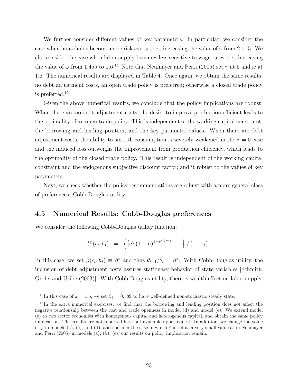We further consider different values of key parameters. In particular, we consider the case when households become more risk averse, i.e., increasing the value of  $\gamma$  from 2 to 5. We also consider the case when labor supply becomes less sensitive to wage rates, i.e., increasing the value of  $\omega$  from 1.455 to 1.6.<sup>14</sup> Note that Neumayer and Perri (2005) set  $\gamma$  at 5 and  $\omega$  at 1.6. The numerical results are displayed in Table 4. Once again, we obtain the same results: no debt adjustment costs, an open trade policy is preferred; otherwise a closed trade policy is preferred.<sup>15</sup>

Given the above numerical results, we conclude that the policy implications are robust. When there are no debt adjustment costs, the desire to improve production efficient leads to the optimality of an open trade policy. This is independent of the working capital constraint, the borrowing and lending position, and the key parameter values. When there are debt adjustment costs, the ability to smooth consumption is severely weakened in the  $\tau = 0$  case and the induced loss outweighs the improvement from production efficiency, which leads to the optimality of the closed trade policy. This result is independent of the working capital constraint and the endogenous subjective discount factor; and it robust to the values of key parameters.

Next, we check whether the policy recommendations are robust with a more general class of preferences: Cobb-Douglas utility.

### 4.5 Numerical Results: Cobb-Douglas preferences

We consider the following Cobb-Douglas utility function:

$$
U(c_t, h_t) = \left\{ \left[ c^{\chi} (1-h)^{1-\chi} \right]^{1-\gamma} - 1 \right\} / (1-\gamma).
$$

In this case, we set  $\beta(c_t, h_t) \equiv \beta^*$  and thus  $\theta_{t+1}/\theta_t = \beta^*$ . With Cobb-Douglas utility, the inclusion of debt adjustment costs assures stationary behavior of state variables [Schmitt-Grohé and Uribe (2003). With Cobb-Douglas utility, there is wealth effect on labor supply.

<sup>&</sup>lt;sup>14</sup>In this case of  $\omega = 1.6$ , we set  $\beta_1 = 0.589$  to have well-defined non-stochastic steady state.

<sup>&</sup>lt;sup>15</sup>In the extra numerical exercises, we find that the borrowing and lending position does not affect the negative relationship between the cost and trade openness in model (d) and model (e). We extend model (e) to two sector economies with homogenous capital and heterogenous capital, and obtain the same policy implication. The results are not reported here but available upon request. In addition, we change the value of  $\varphi$  in models (a), (c), and (d), and consider the case in which  $\phi$  is set at a very small value as in Neumayer and Perri (2005) in models (a), (b), (c), our results on policy implication remain.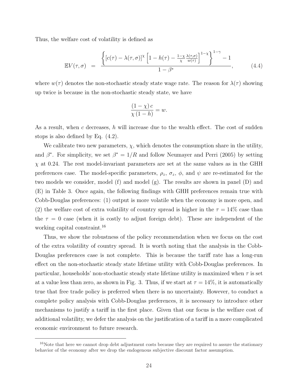Thus, the welfare cost of volatility is defined as

$$
\mathbb{E}V(\tau,\sigma) = \frac{\left\{ [c(\tau) - \lambda(\tau,\sigma)]^{\chi} \left[ 1 - h(\tau) - \frac{1-\chi}{\chi} \frac{\lambda(\tau,\sigma)}{w(\tau)} \right]^{1-\chi} \right\}^{1-\gamma} - 1}{1 - \beta^*}, \quad (4.4)
$$

where  $w(\tau)$  denotes the non-stochastic steady state wage rate. The reason for  $\lambda(\tau)$  showing up twice is because in the non-stochastic steady state, we have

$$
\frac{(1 - \chi)c}{\chi(1 - h)} = w.
$$

As a result, when c decreases, h will increase due to the wealth effect. The cost of sudden stops is also defined by Eq. (4.2).

We calibrate two new parameters,  $\chi$ , which denotes the consumption share in the utility, and  $\beta^*$ . For simplicity, we set  $\beta^* = 1/R$  and follow Neumayer and Perri (2005) by setting  $\chi$  at 0.24. The rest model-invariant parameters are set at the same values as in the GHH preferences case. The model-specific parameters,  $\rho_z$ ,  $\sigma_z$ ,  $\phi$ , and  $\psi$  are re-estimated for the two models we consider, model (f) and model (g). The results are shown in panel (D) and (E) in Table 3. Once again, the following findings with GHH preferences remain true with Cobb-Douglas preferences: (1) output is more volatile when the economy is more open, and (2) the welfare cost of extra volatility of country spread is higher in the  $\tau = 14\%$  case than the  $\tau = 0$  case (when it is costly to adjust foreign debt). These are independent of the working capital constraint.<sup>16</sup>

Thus, we show the robustness of the policy recommendation when we focus on the cost of the extra volatility of country spread. It is worth noting that the analysis in the Cobb-Douglas preferences case is not complete. This is because the tariff rate has a long-run effect on the non-stochastic steady state lifetime utility with Cobb-Douglas preferences. In particular, households' non-stochastic steady state lifetime utility is maximized when  $\tau$  is set at a value less than zero, as shown in Fig. 3. Thus, if we start at  $\tau = 14\%$ , it is automatically true that free trade policy is preferred when there is no uncertainty. However, to conduct a complete policy analysis with Cobb-Douglas preferences, it is necessary to introduce other mechanisms to justify a tariff in the first place. Given that our focus is the welfare cost of additional volatility, we defer the analysis on the justification of a tariff in a more complicated economic environment to future research.

<sup>&</sup>lt;sup>16</sup>Note that here we cannot drop debt adjustment costs because they are required to assure the stationary behavior of the economy after we drop the endogenous subjective discount factor assumption.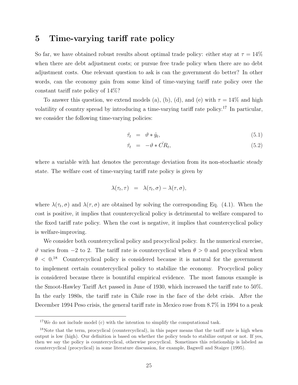### 5 Time-varying tariff rate policy

So far, we have obtained robust results about optimal trade policy: either stay at  $\tau = 14\%$ when there are debt adjustment costs; or pursue free trade policy when there are no debt adjustment costs. One relevant question to ask is can the government do better? In other words, can the economy gain from some kind of time-varying tariff rate policy over the constant tariff rate policy of 14%?

To answer this question, we extend models (a), (b), (d), and (e) with  $\tau = 14\%$  and high volatility of country spread by introducing a time-varying tariff rate policy.<sup>17</sup> In particular, we consider the following time-varying policies:

$$
\hat{\tau}_t = \vartheta * \hat{y}_t,\tag{5.1}
$$

$$
\hat{\tau}_t = -\vartheta * \hat{CR}_t, \tag{5.2}
$$

where a variable with hat denotes the percentage deviation from its non-stochastic steady state. The welfare cost of time-varying tariff rate policy is given by

$$
\lambda(\tau_t, \tau) = \lambda(\tau_t, \sigma) - \lambda(\tau, \sigma),
$$

where  $\lambda(\tau_t, \sigma)$  and  $\lambda(\tau, \sigma)$  are obtained by solving the corresponding Eq. (4.1). When the cost is positive, it implies that countercyclical policy is detrimental to welfare compared to the fixed tariff rate policy. When the cost is negative, it implies that countercyclical policy is welfare-improving.

We consider both countercyclical policy and procyclical policy. In the numerical exercise,  $θ$  varies from −2 to 2. The tariff rate is countercyclical when  $θ > 0$  and procyclical when  $\theta$  < 0.<sup>18</sup> Countercyclical policy is considered because it is natural for the government to implement certain countercyclical policy to stabilize the economy. Procyclical policy is considered because there is bountiful empirical evidence. The most famous example is the Smoot-Hawley Tariff Act passed in June of 1930, which increased the tariff rate to 50%. In the early 1980s, the tariff rate in Chile rose in the face of the debt crisis. After the December 1994 Peso crisis, the general tariff rate in Mexico rose from 8.7% in 1994 to a peak

<sup>&</sup>lt;sup>17</sup>We do not include model (c) with the intention to simplify the computational task.

<sup>&</sup>lt;sup>18</sup>Note that the term, procyclical (countercyclical), in this paper means that the tariff rate is high when output is low (high). Our definition is based on whether the policy tends to stabilize output or not. If yes, then we say the policy is countercyclical, otherwise procyclical. Sometimes this relationship is labeled as countercyclical (procyclical) in some literature discussion, for example, Bagwell and Staiger (1995).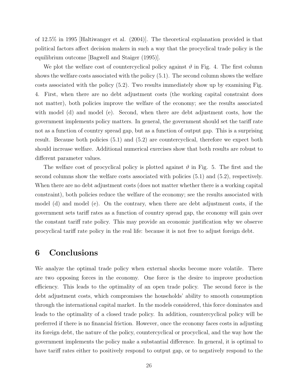of 12.5% in 1995 [Haltiwanger et al. (2004)]. The theoretical explanation provided is that political factors affect decision makers in such a way that the procyclical trade policy is the equilibrium outcome [Bagwell and Staiger (1995)].

We plot the welfare cost of countercyclical policy against  $\vartheta$  in Fig. 4. The first column shows the welfare costs associated with the policy (5.1). The second column shows the welfare costs associated with the policy (5.2). Two results immediately show up by examining Fig. 4. First, when there are no debt adjustment costs (the working capital constraint does not matter), both policies improve the welfare of the economy; see the results associated with model (d) and model (e). Second, when there are debt adjustment costs, how the government implements policy matters. In general, the government should set the tariff rate not as a function of country spread gap, but as a function of output gap. This is a surprising result. Because both policies (5.1) and (5.2) are countercyclical, therefore we expect both should increase welfare. Additional numerical exercises show that both results are robust to different parameter values.

The welfare cost of procyclical policy is plotted against  $\vartheta$  in Fig. 5. The first and the second columns show the welfare costs associated with policies (5.1) and (5.2), respectively. When there are no debt adjustment costs (does not matter whether there is a working capital constraint), both policies reduce the welfare of the economy; see the results associated with model (d) and model (e). On the contrary, when there are debt adjustment costs, if the government sets tariff rates as a function of country spread gap, the economy will gain over the constant tariff rate policy. This may provide an economic justification why we observe procyclical tariff rate policy in the real life: because it is not free to adjust foreign debt.

# 6 Conclusions

We analyze the optimal trade policy when external shocks become more volatile. There are two opposing forces in the economy. One force is the desire to improve production efficiency. This leads to the optimality of an open trade policy. The second force is the debt adjustment costs, which compromises the households' ability to smooth consumption through the international capital market. In the models considered, this force dominates and leads to the optimality of a closed trade policy. In addition, countercyclical policy will be preferred if there is no financial friction. However, once the economy faces costs in adjusting its foreign debt, the nature of the policy, countercyclical or procyclical, and the way how the government implements the policy make a substantial difference. In general, it is optimal to have tariff rates either to positively respond to output gap, or to negatively respond to the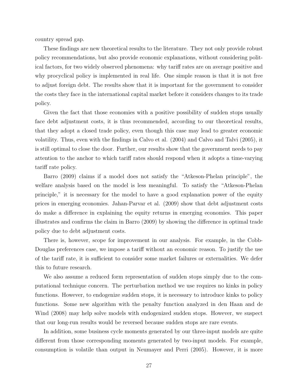country spread gap.

These findings are new theoretical results to the literature. They not only provide robust policy recommendations, but also provide economic explanations, without considering political factors, for two widely observed phenomena: why tariff rates are on average positive and why procyclical policy is implemented in real life. One simple reason is that it is not free to adjust foreign debt. The results show that it is important for the government to consider the costs they face in the international capital market before it considers changes to its trade policy.

Given the fact that those economies with a positive possibility of sudden stops usually face debt adjustment costs, it is thus recommended, according to our theoretical results, that they adopt a closed trade policy, even though this case may lead to greater economic volatility. Thus, even with the findings in Calvo et al. (2004) and Calvo and Talvi (2005), it is still optimal to close the door. Further, our results show that the government needs to pay attention to the anchor to which tariff rates should respond when it adopts a time-varying tariff rate policy.

Barro (2009) claims if a model does not satisfy the "Atkeson-Phelan principle", the welfare analysis based on the model is less meaningful. To satisfy the "Atkeson-Phelan principle," it is necessary for the model to have a good explanation power of the equity prices in emerging economies. Jahan-Parvar et al. (2009) show that debt adjustment costs do make a difference in explaining the equity returns in emerging economies. This paper illustrates and confirms the claim in Barro (2009) by showing the difference in optimal trade policy due to debt adjustment costs.

There is, however, scope for improvement in our analysis. For example, in the Cobb-Douglas preferences case, we impose a tariff without an economic reason. To justify the use of the tariff rate, it is sufficient to consider some market failures or externalities. We defer this to future research.

We also assume a reduced form representation of sudden stops simply due to the computational technique concern. The perturbation method we use requires no kinks in policy functions. However, to endogenize sudden stops, it is necessary to introduce kinks to policy functions. Some new algorithm with the penalty function analyzed in den Haan and de Wind (2008) may help solve models with endogenized sudden stops. However, we suspect that our long-run results would be reversed because sudden stops are rare events.

In addition, some business cycle moments generated by our three-input models are quite different from those corresponding moments generated by two-input models. For example, consumption is volatile than output in Neumayer and Perri (2005). However, it is more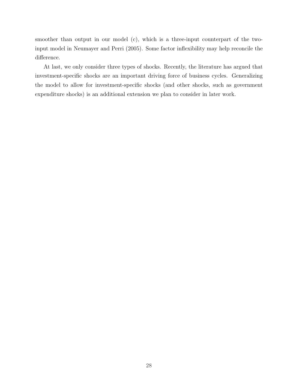smoother than output in our model (c), which is a three-input counterpart of the twoinput model in Neumayer and Perri (2005). Some factor inflexibility may help reconcile the difference.

At last, we only consider three types of shocks. Recently, the literature has argued that investment-specific shocks are an important driving force of business cycles. Generalizing the model to allow for investment-specific shocks (and other shocks, such as government expenditure shocks) is an additional extension we plan to consider in later work.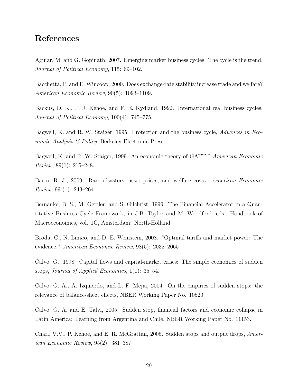# References

Aguiar, M. and G. Gopinath, 2007. Emerging market business cycles: The cycle is the trend, Journal of Political Economy, 115: 69–102.

Bacchetta, P. and E. Wincoop, 2000. Does exchange-rate stability increase trade and welfare? American Economic Review, 90(5): 1093–1109.

Backus, D. K., P. J. Kehoe, and F. E. Kydland, 1992. International real business cycles, Journal of Political Economy, 100(4): 745–775.

Bagwell, K. and R. W. Staiger, 1995. Protection and the business cycle, *Advances in Eco*nomic Analysis & Policy, Berkeley Electronic Press.

Bagwell, K. and R. W. Staiger, 1999. An economic theory of GATT." American Economic Review, 89(1): 215–248.

Barro, R. J., 2009. Rare disasters, asset prices, and welfare costs. American Economic Review 99 (1): 243–264.

Bernanke, B. S., M. Gertler, and S. Gilchrist, 1999. The Financial Accelerator in a Quantitative Business Cycle Framework, in J.B. Taylor and M. Woodford, eds., Handbook of Macroeconomics, vol. 1C, Amsterdam: North-Holland.

Broda, C., N. Limão, and D. E. Weinstein, 2008. "Optimal tariffs and market power: The evidence." American Economic Review, 98(5): 2032–2065

Calvo, G., 1998. Capital flows and capital-market crises: The simple economics of sudden stops, Journal of Applied Economics, 1(1): 35–54.

Calvo, G. A., A. Izquierdo, and L. F. Mejia, 2004. On the empirics of sudden stops: the relevance of balance-sheet effects, NBER Working Paper No. 10520.

Calvo, G. A. and E. Talvi, 2005. Sudden stop, financial factors and economic collapse in Latin America: Learning from Argentina and Chile, NBER Working Paper No. 11153.

Chari, V.V., P. Kehoe, and E. R. McGrattan, 2005. Sudden stops and output drops, American Economic Review, 95(2): 381–387.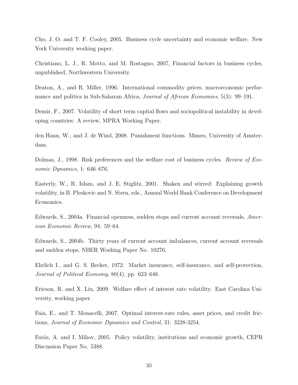Cho, J. O. and T. F. Cooley, 2005. Business cycle uncertainty and economic welfare. New York University working paper.

Christiano, L. J., R. Motto, and M. Rostagno, 2007, Financial factors in business cycles, unpublished, Northwestern University.

Deaton, A., and R. Miller, 1996. International commodity prices, macroeconomic performance and politics in Sub-Saharan Africa, Journal of African Economies, 5(3): 99–191.

Demir, F., 2007. Volatility of short term capital flows and sociopolitical instability in developing countries: A review, MPRA Working Paper.

den Hann, W., and J. de Wind, 2008. Punishment functions. Mimeo, University of Amsterdam.

Dolmas, J., 1998. Risk preferences and the welfare cost of business cycles. Review of Economic Dynamics, 1: 646–676.

Easterly, W., R. Islam, and J. E. Stiglitz, 2001. Shaken and stirred: Explaining growth volatility, in B. Pleskovic and N. Stern, eds., Annual World Bank Conference on Development Economics.

Edwards, S., 2004a. Financial openness, sudden stops and current account reversals, American Economic Review, 94: 59–64.

Edwards, S., 2004b. Thirty years of current account imbalances, current account reversals and sudden stops, NBER Working Paper No. 10276.

Ehrlich I., and G. S. Becker, 1972. Market insurance, self-insurance, and self-protection, Journal of Political Economy, 80(4), pp. 623–648.

Ericson, R. and X. Liu, 2009. Welfare effect of interest rate volatility. East Carolina University, working paper.

Faia, E., and T. Monacelli, 2007. Optimal interest-rate rules, asset prices, and credit frictions, Journal of Economic Dynamics and Control, 31: 3228-3254.

Fatás, A. and I. Mihov, 2005. Policy volatility, institutions and economic growth, CEPR Discussion Paper No. 5388.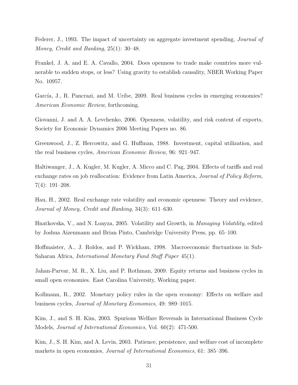Federer, J., 1993. The impact of uncertainty on aggregate investment spending, *Journal of* Money, Credit and Banking, 25(1): 30–48.

Frankel, J. A. and E. A. Cavallo, 2004. Does openness to trade make countries more vulnerable to sudden stops, or less? Using gravity to establish causality, NBER Working Paper No. 10957.

García, J., R. Pancrazi, and M. Uribe, 2009. Real business cycles in emerging economies? American Economic Review, forthcoming.

Giovanni, J. and A. A. Levchenko, 2006. Openness, volatility, and risk content of exports, Society for Economic Dynamics 2006 Meeting Papers no. 86.

Greenwood, J., Z. Hercowitz, and G. Huffman, 1988. Investment, capital utilization, and the real business cycles, American Economic Review, 96: 921–947.

Haltiwanger, J., A. Kugler, M. Kugler, A. Micco and C. Pag, 2004. Effects of tariffs and real exchange rates on job reallocation: Evidence from Latin America, Journal of Policy Reform, 7(4): 191–208.

Hau, H., 2002. Real exchange rate volatility and economic openness: Theory and evidence, Journal of Money, Credit and Banking, 34(3): 611–630.

Hnatkovska, V., and N. Loayza, 2005. Volatility and Growth, in Managing Volatility, edited by Joshua Aizenmann and Brian Pinto, Cambridge University Press, pp. 65–100.

Hoffmaister, A., J. Roldos, and P. Wickham, 1998. Macroeconomic fluctuations in Sub-Saharan Africa, International Monetary Fund Staff Paper 45(1).

Jahan-Parvar, M. R., X. Liu, and P. Rothman, 2009. Equity returns and business cycles in small open economies. East Carolina University, Working paper.

Kollmann, R., 2002. Monetary policy rules in the open economy: Effects on welfare and business cycles, Journal of Monetary Economics, 49: 989–1015.

Kim, J., and S. H. Kim, 2003. Spurious Welfare Reversals in International Business Cycle Models, Journal of International Economics, Vol. 60(2): 471-500.

Kim, J., S. H. Kim, and A. Levin, 2003. Patience, persistence, and welfare cost of incomplete markets in open economies, Journal of International Economics, 61: 385–396.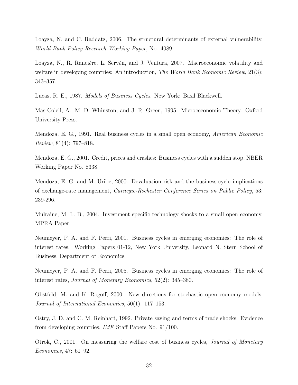Loayza, N. and C. Raddatz, 2006. The structural determinants of external vulnerability, World Bank Policy Research Working Paper, No. 4089.

Loayza, N., R. Rancière, L. Servén, and J. Ventura, 2007. Macroeconomic volatility and welfare in developing countries: An introduction, The World Bank Economic Review, 21(3): 343–357.

Lucas, R. E., 1987. Models of Business Cycles. New York: Basil Blackwell.

Mas-Colell, A., M. D. Whinston, and J. R. Green, 1995. Microceconomic Theory. Oxford University Press.

Mendoza, E. G., 1991. Real business cycles in a small open economy, American Economic Review, 81(4): 797–818.

Mendoza, E. G., 2001. Credit, prices and crashes: Business cycles with a sudden stop, NBER Working Paper No. 8338.

Mendoza, E. G. and M. Uribe, 2000. Devaluation risk and the business-cycle implications of exchange-rate management, Carnegie-Rochester Conference Series on Public Policy, 53: 239-296.

Mulraine, M. L. B., 2004. Investment specific technology shocks to a small open economy, MPRA Paper.

Neumeyer, P. A. and F. Perri, 2001. Business cycles in emerging economies: The role of interest rates. Working Papers 01-12, New York University, Leonard N. Stern School of Business, Department of Economics.

Neumeyer, P. A. and F. Perri, 2005. Business cycles in emerging economies: The role of interest rates, Journal of Monetary Economics, 52(2): 345–380.

Obstfeld, M. and K. Rogoff, 2000. New directions for stochastic open economy models, Journal of International Economics, 50(1): 117–153.

Ostry, J. D. and C. M. Reinhart, 1992. Private saving and terms of trade shocks: Evidence from developing countries, IMF Staff Papers No. 91/100.

Otrok, C., 2001. On measuring the welfare cost of business cycles, Journal of Monetary Economics, 47: 61–92.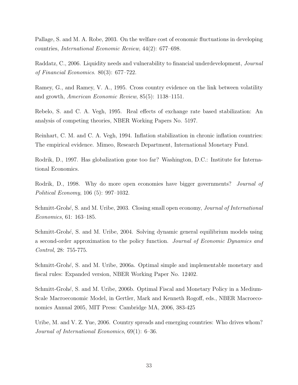Pallage, S. and M. A. Robe, 2003. On the welfare cost of economic fluctuations in developing countries, International Economic Review, 44(2): 677–698.

Raddatz, C., 2006. Liquidity needs and vulnerability to financial underdevelopment, Journal of Financial Economics. 80(3): 677–722.

Ramey, G., and Ramey, V. A., 1995. Cross country evidence on the link between volatility and growth, American Economic Review, 85(5): 1138–1151.

Rebelo, S. and C. A. Vegh, 1995. Real effects of exchange rate based stabilization: An analysis of competing theories, NBER Working Papers No. 5197.

Reinhart, C. M. and C. A. Vegh, 1994. Inflation stabilization in chronic inflation countries: The empirical evidence. Mimeo, Research Department, International Monetary Fund.

Rodrik, D., 1997. Has globalization gone too far? Washington, D.C.: Institute for International Economics.

Rodrik, D., 1998. Why do more open economies have bigger governments? Journal of Political Economy, 106 (5): 997–1032.

Schmitt-Grohé, S. and M. Uribe, 2003. Closing small open economy, *Journal of International* Economics, 61: 163–185.

Schmitt-Grohé, S. and M. Uribe, 2004. Solving dynamic general equilibrium models using a second-order approximation to the policy function. Journal of Economic Dynamics and Control, 28: 755-775.

Schmitt-Grohé, S. and M. Uribe, 2006a. Optimal simple and implementable monetary and fiscal rules: Expanded version, NBER Working Paper No. 12402.

Schmitt-Grohé, S. and M. Uribe, 2006b. Optimal Fiscal and Monetary Policy in a Medium-Scale Macroeconomic Model, in Gertler, Mark and Kenneth Rogoff, eds., NBER Macroeconomics Annual 2005, MIT Press: Cambridge MA, 2006, 383-425

Uribe, M. and V. Z. Yue, 2006. Country spreads and emerging countries: Who drives whom? Journal of International Economics, 69(1): 6–36.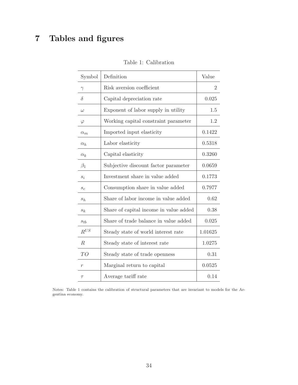# 7 Tables and figures

| Symbol             | Definition                             | Value          |
|--------------------|----------------------------------------|----------------|
| $\gamma$           | Risk aversion coefficient              | $\overline{2}$ |
| $\delta$           | Capital depreciation rate              | 0.025          |
| $\omega$           | Exponent of labor supply in utility    | 1.5            |
| $\varphi$          | Working capital constraint parameter   | 1.2            |
| $\alpha_m$         | Imported input elasticity              | 0.1422         |
| $\alpha_h$         | Labor elasticity                       | 0.5318         |
| $\alpha_k$         | Capital elasticity                     | 0.3260         |
| $\beta_1$          | Subjective discount factor parameter   | 0.0659         |
| $s_i$              | Investment share in value added        | 0.1773         |
| $\boldsymbol{s}_c$ | Consumption share in value added       | 0.7977         |
| $s_h$              | Share of labor income in value added   | 0.62           |
| $s_k$              | Share of capital income in value added | 0.38           |
| $s_{tb}$           | Share of trade balance in value added  | 0.025          |
| $R^{US}$           | Steady state of world interest rate    | 1.01625        |
| $\mathbb{R}$       | Steady state of interest rate          | 1.0275         |
| TO                 | Steady state of trade openness         | 0.31           |
| $\boldsymbol{r}$   | Marginal return to capital             | 0.0525         |
| $\tau$             | Average tariff rate                    | 0.14           |

Table 1: Calibration

Notes: Table 1 contains the calibration of structural parameters that are invariant to models for the Argentina economy.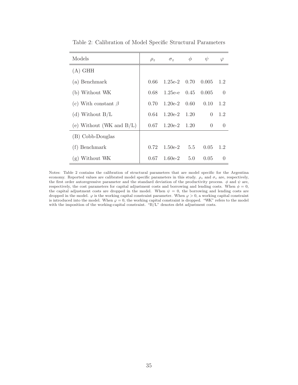| Models                      | $\rho_z$ | $\sigma_z$           | $\phi$ | $\psi$   | $\varphi$        |
|-----------------------------|----------|----------------------|--------|----------|------------------|
| $(A)$ GHH                   |          |                      |        |          |                  |
| (a) Benchmark               | 0.66     | $1.25e-2$ 0.70       |        | 0.005    | 1.2              |
| (b) Without WK              | 0.68     | $1.25e-e$ 0.45       |        | 0.005    | $\overline{0}$   |
| (c) With constant $\beta$   | 0.70     | $1.20e-2 \quad 0.60$ |        | 0.10     | 1.2              |
| (d) Without $B/L$           | 0.64     | $1.20e-2$ $1.20$     |        | $\Omega$ | 1.2              |
| (e) Without (WK and $B/L$ ) | 0.67     | $1.20e-2$ $1.20$     |        | $\Omega$ | $\Omega$         |
| (B) Cobb-Douglas            |          |                      |        |          |                  |
| $(f)$ Benchmark             | 0.72     | $1.50e-2$            | 5.5    | 0.05     | 1.2              |
| $(g)$ Without WK            | 0.67     | $1.60e-2$            | 5.0    | 0.05     | $\left( \right)$ |

Table 2: Calibration of Model Specific Structural Parameters

Notes: Table 2 contains the calibration of structural parameters that are model specific for the Argentina economy. Reported values are calibrated model specific parameters in this study.  $\rho_z$  and  $\sigma_z$  are, respectively, the first order autoregressive parameter and the standard deviation of the productivity process.  $\phi$  and  $\psi$  are, respectively, the cost parameters for capital adjustment costs and borrowing and lending costs. When  $\phi = 0$ , the capital adjustment costs are dropped in the model. When  $\psi = 0$ , the borrowing and lending costs are dropped in the model.  $\varphi$  is the working capital constraint parameter. When  $\varphi > 0$ , a working capital constraint is introduced into the model. When  $\varphi = 0$ , the working capital constraint is dropped. "WK" refers to the model with the imposition of the working-capital constraint. "B/L" denotes debt adjustment costs.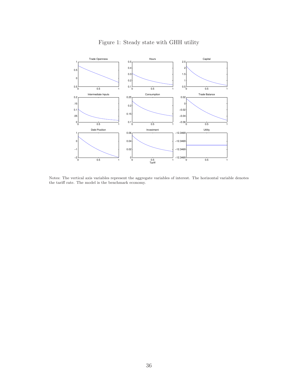

Figure 1: Steady state with GHH utility

Notes: The vertical axis variables represent the aggregate variables of interest. The horizontal variable denotes the tariff rate. The model is the benchmark economy.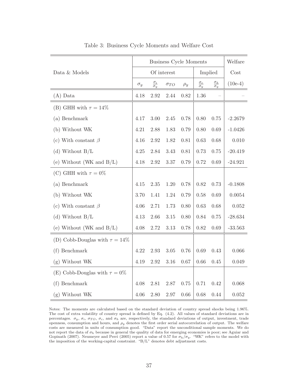|                                     | <b>Business Cycle Moments</b> |                             |               |          |                            | Welfare                                   |           |
|-------------------------------------|-------------------------------|-----------------------------|---------------|----------|----------------------------|-------------------------------------------|-----------|
| Data & Models                       | Of interest                   |                             |               | Implied  |                            | Cost                                      |           |
|                                     | $\sigma_y$                    | $\frac{\sigma_i}{\sigma_y}$ | $\sigma_{TO}$ | $\rho_y$ | $\sigma_c$<br>$\sigma_{y}$ | $\frac{\sigma_h}{\sigma}$<br>$\sigma_{y}$ | $(10e-4)$ |
| $(A)$ Data                          | 4.18                          | 2.92                        | 2.44          | 0.82     | 1.36                       |                                           |           |
| (B) GHH with $\tau = 14\%$          |                               |                             |               |          |                            |                                           |           |
| (a) Benchmark                       |                               | 3.00                        | 2.45          | 0.78     | 0.80                       | 0.75                                      | $-2.2679$ |
| (b) Without WK                      |                               | 2.88                        | 1.83          | 0.79     | 0.80                       | 0.69                                      | $-1.0426$ |
| (c) With constant $\beta$           | 4.16                          | 2.92                        | 1.82          | 0.81     | 0.63                       | 0.68                                      | 0.010     |
| (d) Without $B/L$                   | 4.25                          | 2.84                        | 3.43          | 0.81     | 0.73                       | 0.75                                      | $-20.419$ |
| (e) Without (WK and $B/L$ )         | 4.18                          | 2.92                        | 3.37          | 0.79     | 0.72                       | 0.69                                      | $-24.921$ |
| (C) GHH with $\tau = 0\%$           |                               |                             |               |          |                            |                                           |           |
| (a) Benchmark                       |                               | 2.35                        | 1.20          | 0.78     | 0.82                       | 0.73                                      | $-0.1808$ |
| (b) Without WK                      |                               | 1.41                        | 1.24          | 0.79     | 0.58                       | 0.69                                      | 0.0054    |
| (c) With constant $\beta$           |                               | 2.71                        | 1.73          | 0.80     | 0.63                       | 0.68                                      | 0.052     |
| (d) Without $B/L$                   |                               | 2.66                        | 3.15          | 0.80     | 0.84                       | 0.75                                      | $-28.634$ |
| (e) Without (WK and $B/L$ )         | 4.08                          | 2.72                        | 3.13          | 0.78     | 0.82                       | 0.69                                      | $-33.563$ |
| (D) Cobb-Douglas with $\tau = 14\%$ |                               |                             |               |          |                            |                                           |           |
| (f) Benchmark                       | 4.22                          | 2.93                        | $3.05\,$      | 0.76     | 0.69                       | 0.43                                      | 0.066     |
| $(g)$ Without WK                    |                               | 2.92                        | 3.16          | 0.67     | 0.66                       | 0.45                                      | 0.049     |
| (E) Cobb-Douglas with $\tau = 0\%$  |                               |                             |               |          |                            |                                           |           |
| (f) Benchmark                       | 4.08                          | 2.81                        | 2.87          | 0.75     | 0.71                       | 0.42                                      | 0.068     |
| (g) Without WK                      | 4.06                          | 2.80                        | 2.97          | 0.66     | 0.68                       | 0.44                                      | 0.052     |

Table 3: Business Cycle Moments and Welfare Cost

Notes: The moments are calculated based on the standard deviation of country spread shocks being 1.96%. The cost of extra volatility of country spread is defined by Eq. (4.2). All values of standard deviations are in percentages.  $\sigma_y$ ,  $\sigma_i$ ,  $\sigma_{TO}$ ,  $\sigma_c$ , and  $\sigma_h$  are, respectively, the standard deviations of output, investment, trade openness, consumption and hours, and  $\rho_y$  denotes the first order serial autocorrelation of output. The welfare costs are measured in units of consumption good. "Data" report the unconditional sample moments. We do not report the data of  $\sigma_h$  because in general the quality of data for emerging economies is poor; see Aguiar and Gopinath (2007). Neumeyer and Perri (2005) report a value of 0.57 for  $\sigma_h/\sigma_y$ . "WK" refers to the model with the imposition of the working-capital constraint. "B/L" denotes debt adjustment costs.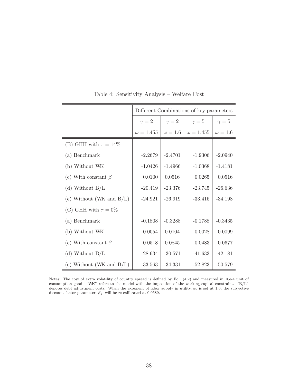|                             | Different Combinations of key parameters |                |                  |                |  |  |
|-----------------------------|------------------------------------------|----------------|------------------|----------------|--|--|
|                             | $\gamma = 2$                             | $\gamma=2$     | $\gamma=5$       | $\gamma=5$     |  |  |
|                             | $\omega = 1.455$                         | $\omega = 1.6$ | $\omega = 1.455$ | $\omega = 1.6$ |  |  |
| (B) GHH with $\tau = 14\%$  |                                          |                |                  |                |  |  |
| (a) Benchmark               | $-2.2679$                                | $-2.4701$      | $-1.9306$        | $-2.0940$      |  |  |
| (b) Without WK              | $-1.0426$                                | $-1.4966$      | $-1.0368$        | $-1.4181$      |  |  |
| (c) With constant $\beta$   | 0.0100                                   | 0.0516         | 0.0265           | 0.0516         |  |  |
| (d) Without $B/L$           | $-20.419$                                | $-23.376$      | $-23.745$        | $-26.636$      |  |  |
| (e) Without (WK and $B/L$ ) | $-24.921$                                | $-26.919$      | $-33.416$        | $-34.198$      |  |  |
| (C) GHH with $\tau = 0\%$   |                                          |                |                  |                |  |  |
| (a) Benchmark               | $-0.1808$                                | $-0.3288$      | $-0.1788$        | $-0.3435$      |  |  |
| (b) Without WK              | 0.0054                                   | 0.0104         | 0.0028           | 0.0099         |  |  |
| (c) With constant $\beta$   | $0.0518\,$                               | 0.0845         | 0.0483           | 0.0677         |  |  |
| (d) Without $B/L$           | $-28.634$                                | $-30.571$      | $-41.633$        | $-42.181$      |  |  |
| (e) Without (WK and $B/L$ ) | $-33.563$                                | $-34.331$      | $-52.823$        | $-50.579$      |  |  |

Table 4: Sensitivity Analysis – Welfare Cost

Notes: The cost of extra volatility of country spread is defined by Eq. (4.2) and measured in 10e-4 unit of consumption good. "WK" refers to the model with the imposition of the working-capital constraint. "B/L" denotes debt adjustment costs. When the exponent of labor supply in utility,  $\omega$ , is set at 1.6, the subjective discount factor parameter,  $\beta_1,$  will be re-calibrated at 0.0589.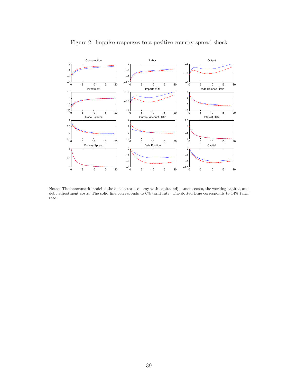

#### Figure 2: Impulse responses to a positive country spread shock

Notes: The benchmark model is the one-sector economy with capital adjustment costs, the working capital, and debt adjustment costs. The solid line corresponds to 0% tariff rate. The dotted Line corresponds to 14% tariff rate.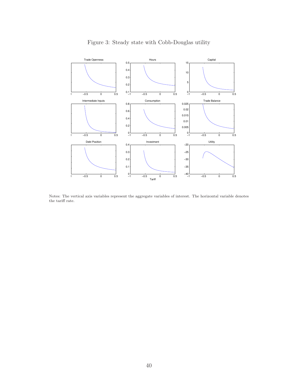

### Figure 3: Steady state with Cobb-Douglas utility

Notes: The vertical axis variables represent the aggregate variables of interest. The horizontal variable denotes the tariff rate.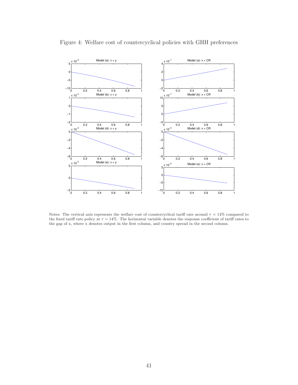

#### Figure 4: Welfare cost of countercyclical policies with GHH preferences

Notes: The vertical axis represents the welfare cost of countercyclical tariff rate around  $\tau = 14\%$  compared to the fixed tariff rate policy at  $\tau = 14\%$ . The horizontal variable denotes the response coefficient of tariff rates to the gap of x, where x denotes output in the first column, and country spread in the second column.